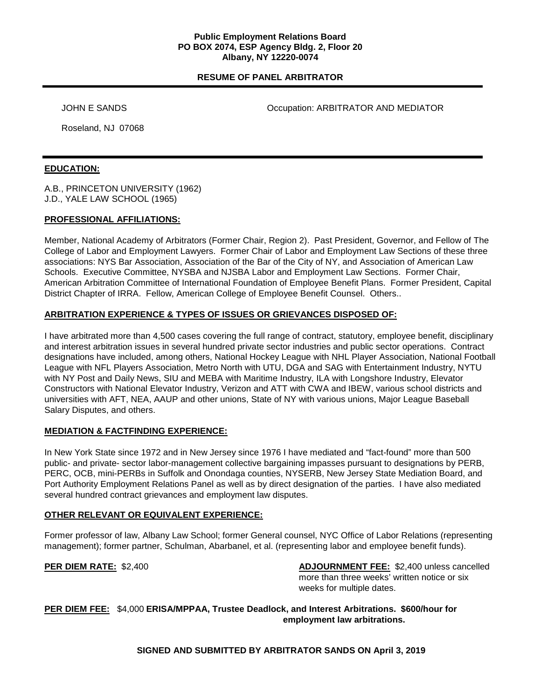### **Public Employment Relations Board PO BOX 2074, ESP Agency Bldg. 2, Floor 20 Albany, NY 12220-0074**

# **RESUME OF PANEL ARBITRATOR**

JOHN E SANDS **Occupation: ARBITRATOR AND MEDIATOR** 

Roseland, NJ 07068

## **EDUCATION:**

A.B., PRINCETON UNIVERSITY (1962) J.D., YALE LAW SCHOOL (1965)

## **PROFESSIONAL AFFILIATIONS:**

Member, National Academy of Arbitrators (Former Chair, Region 2). Past President, Governor, and Fellow of The College of Labor and Employment Lawyers. Former Chair of Labor and Employment Law Sections of these three associations: NYS Bar Association, Association of the Bar of the City of NY, and Association of American Law Schools. Executive Committee, NYSBA and NJSBA Labor and Employment Law Sections. Former Chair, American Arbitration Committee of International Foundation of Employee Benefit Plans. Former President, Capital District Chapter of IRRA. Fellow, American College of Employee Benefit Counsel. Others..

# **ARBITRATION EXPERIENCE & TYPES OF ISSUES OR GRIEVANCES DISPOSED OF:**

I have arbitrated more than 4,500 cases covering the full range of contract, statutory, employee benefit, disciplinary and interest arbitration issues in several hundred private sector industries and public sector operations. Contract designations have included, among others, National Hockey League with NHL Player Association, National Football League with NFL Players Association, Metro North with UTU, DGA and SAG with Entertainment Industry, NYTU with NY Post and Daily News, SIU and MEBA with Maritime Industry, ILA with Longshore Industry, Elevator Constructors with National Elevator Industry, Verizon and ATT with CWA and IBEW, various school districts and universities with AFT, NEA, AAUP and other unions, State of NY with various unions, Major League Baseball Salary Disputes, and others.

# **MEDIATION & FACTFINDING EXPERIENCE:**

In New York State since 1972 and in New Jersey since 1976 I have mediated and "fact-found" more than 500 public- and private- sector labor-management collective bargaining impasses pursuant to designations by PERB, PERC, OCB, mini-PERBs in Suffolk and Onondaga counties, NYSERB, New Jersey State Mediation Board, and Port Authority Employment Relations Panel as well as by direct designation of the parties. I have also mediated several hundred contract grievances and employment law disputes.

# **OTHER RELEVANT OR EQUIVALENT EXPERIENCE:**

Former professor of law, Albany Law School; former General counsel, NYC Office of Labor Relations (representing management); former partner, Schulman, Abarbanel, et al. (representing labor and employee benefit funds).

**PER DIEM RATE:** \$2,400 **ADJOURNMENT FEE:** \$2,400 unless cancelled more than three weeks' written notice or six weeks for multiple dates.

**PER DIEM FEE:** \$4,000 **ERISA/MPPAA, Trustee Deadlock, and Interest Arbitrations. \$600/hour for employment law arbitrations.**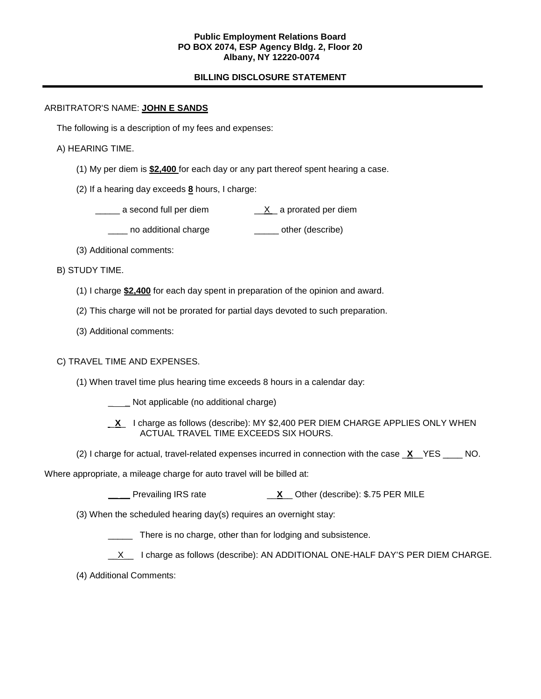### **Public Employment Relations Board PO BOX 2074, ESP Agency Bldg. 2, Floor 20 Albany, NY 12220-0074**

# **BILLING DISCLOSURE STATEMENT**

## ARBITRATOR'S NAME: **JOHN E SANDS**

The following is a description of my fees and expenses:

## A) HEARING TIME.

- (1) My per diem is **\$2,400** for each day or any part thereof spent hearing a case.
- (2) If a hearing day exceeds **8** hours, I charge:
	- $\frac{X}{X}$  a second full per diem  $\frac{X}{X}$  a prorated per diem
		- \_\_\_\_ no additional charge \_\_\_\_\_ other (describe)
- (3) Additional comments:

B) STUDY TIME.

- (1) I charge **\$2,400** for each day spent in preparation of the opinion and award.
- (2) This charge will not be prorated for partial days devoted to such preparation.
- (3) Additional comments:

# C) TRAVEL TIME AND EXPENSES.

- (1) When travel time plus hearing time exceeds 8 hours in a calendar day:
	- **\_\_\_\_ Not applicable (no additional charge)**
	- **X\_ I charge as follows (describe): MY \$2,400 PER DIEM CHARGE APPLIES ONLY WHEN** ACTUAL TRAVEL TIME EXCEEDS SIX HOURS.
- (2) I charge for actual, travel-related expenses incurred in connection with the case \_**X**\_\_YES \_\_\_\_ NO.

### Where appropriate, a mileage charge for auto travel will be billed at:

**\_\_ \_\_** Prevailing IRS rate \_\_**X**\_\_ Other (describe): \$.75 PER MILE

(3) When the scheduled hearing day(s) requires an overnight stay:

There is no charge, other than for lodging and subsistence.

- X I charge as follows (describe): AN ADDITIONAL ONE-HALF DAY'S PER DIEM CHARGE.
- (4) Additional Comments: